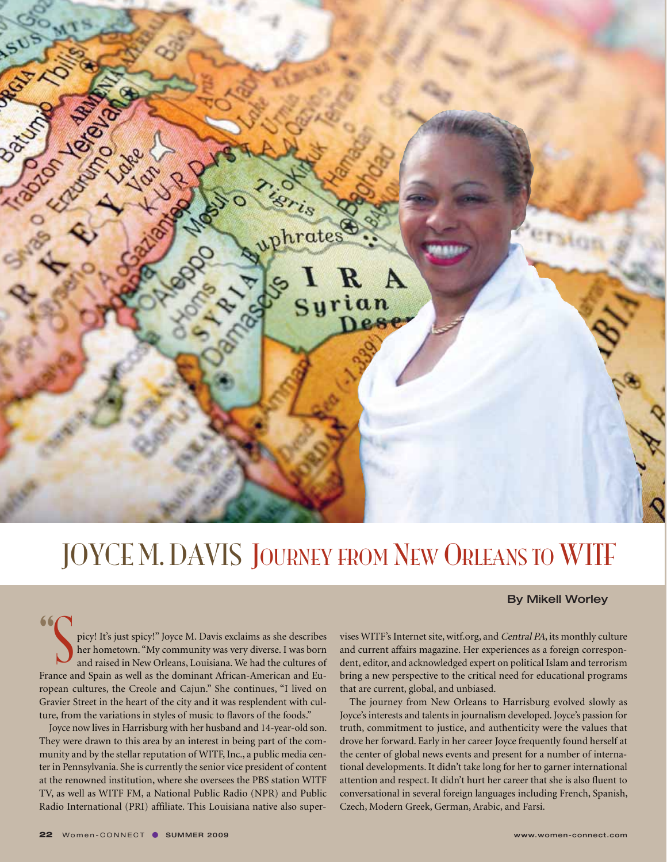

## JOYCE M. DAVIS JOURNEY FROM NEW ORLEANS TO WITF

## By Mikell Worley

picy! It's just spicy!" Joyce M. Davis exclaims as she describes her hometown. "My community was very diverse. I was born and raised in New Orleans, Louisiana. We had the cultures of France and Spain as well as the dominant African-American and European cultures, the Creole and Cajun." She continues, "I lived on Gravier Street in the heart of the city and it was resplendent with culture, from the variations in styles of music to flavors of the foods."

Joyce now lives in Harrisburg with her husband and 14-year-old son. They were drawn to this area by an interest in being part of the community and by the stellar reputation of WITF, Inc., a public media center in Pennsylvania. She is currently the senior vice president of content at the renowned institution, where she oversees the PBS station WITF TV, as well as WITF FM, a National Public Radio (NPR) and Public Radio International (PRI) affiliate. This Louisiana native also supervises WITF's Internet site, witf.org, and Central PA, its monthly culture and current affairs magazine. Her experiences as a foreign correspondent, editor, and acknowledged expert on political Islam and terrorism bring a new perspective to the critical need for educational programs that are current, global, and unbiased.

The journey from New Orleans to Harrisburg evolved slowly as Joyce's interests and talents in journalism developed. Joyce's passion for truth, commitment to justice, and authenticity were the values that drove her forward. Early in her career Joyce frequently found herself at the center of global news events and present for a number of international developments. It didn't take long for her to garner international attention and respect. It didn't hurt her career that she is also fluent to conversational in several foreign languages including French, Spanish, Czech, Modern Greek, German, Arabic, and Farsi.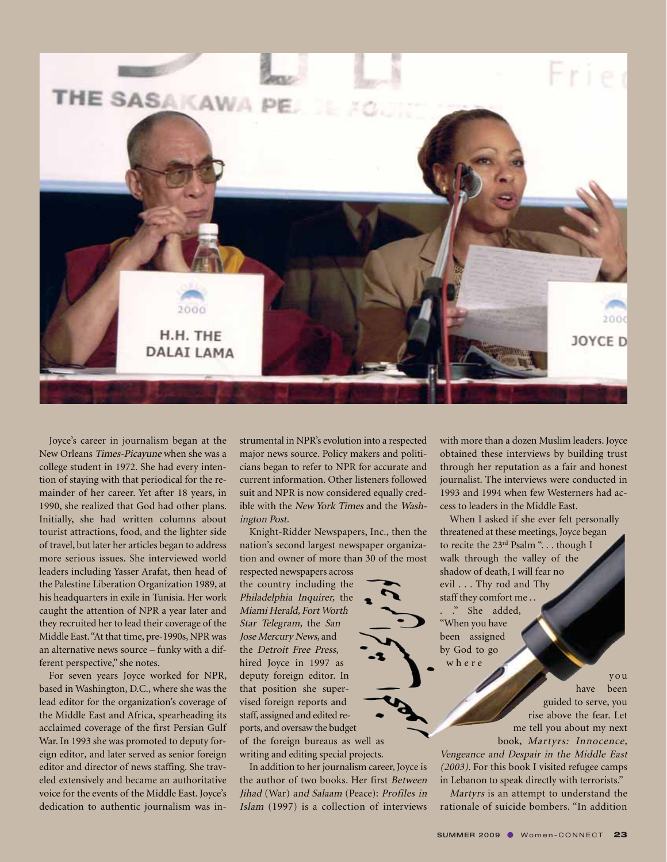

Joyce's career in journalism began at the New Orleans Times-Picayune when she was a college student in 1972. She had every intention of staying with that periodical for the remainder of her career. Yet after 18 years, in 1990, she realized that God had other plans. Initially, she had written columns about tourist attractions, food, and the lighter side of travel, but later her articles began to address more serious issues. She interviewed world leaders including Yasser Arafat, then head of the Palestine Liberation Organization 1989, at his headquarters in exile in Tunisia. Her work caught the attention of NPR a year later and they recruited her to lead their coverage of the Middle East. "At that time, pre-1990s, NPR was an alternative news source – funky with a different perspective," she notes.

For seven years Joyce worked for NPR, based in Washington, D.C., where she was the lead editor for the organization's coverage of the Middle East and Africa, spearheading its acclaimed coverage of the first Persian Gulf War. In 1993 she was promoted to deputy foreign editor, and later served as senior foreign editor and director of news staffing. She traveled extensively and became an authoritative voice for the events of the Middle East. Joyce's dedication to authentic journalism was instrumental in NPR's evolution into a respected major news source. Policy makers and politicians began to refer to NPR for accurate and current information. Other listeners followed suit and NPR is now considered equally credible with the New York Times and the Washington Post.

Knight-Ridder Newspapers, Inc., then the nation's second largest newspaper organization and owner of more than 30 of the most

respected newspapers across the country including the Philadelphia Inquirer, the Miami Herald, Fort Worth Star Telegram, the San Jose Mercury News, and the Detroit Free Press, hired Joyce in 1997 as deputy foreign editor. In that position she supervised foreign reports and staff, assigned and edited reports, and oversaw the budget of the foreign bureaus as well as writing and editing special projects.

In addition to her journalism career, Joyce is the author of two books. Her first Between Jihad (War) and Salaam (Peace): Profiles in Islam (1997) is a collection of interviews with more than a dozen Muslim leaders. Joyce obtained these interviews by building trust through her reputation as a fair and honest journalist. The interviews were conducted in 1993 and 1994 when few Westerners had access to leaders in the Middle East.

When I asked if she ever felt personally threatened at these meetings, Joyce began to recite the 23<sup>rd</sup> Psalm ". . . though I walk through the valley of the shadow of death, I will fear no evil . . . Thy rod and Thy staff they comfort me . . . ." She added, "When you have been assigned by God to go where

> you have been guided to serve, you rise above the fear. Let me tell you about my next book, Martyrs: Innocence,

Vengeance and Despair in the Middle East (2003). For this book I visited refugee camps in Lebanon to speak directly with terrorists."

Martyrs is an attempt to understand the rationale of suicide bombers. "In addition